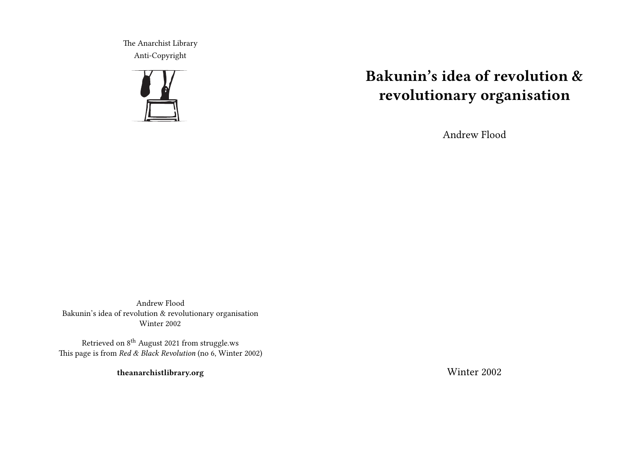The Anarchist Library Anti-Copyright



# **Bakunin's idea of revolution & revolutionary organisation**

Andrew Flood

Andrew Flood Bakunin's idea of revolution & revolutionary organisation Winter 2002

Retrieved on 8<sup>th</sup> August 2021 from struggle.ws This page is from *Red & Black Revolution* (no 6, Winter 2002)

**theanarchistlibrary.org**

Winter 2002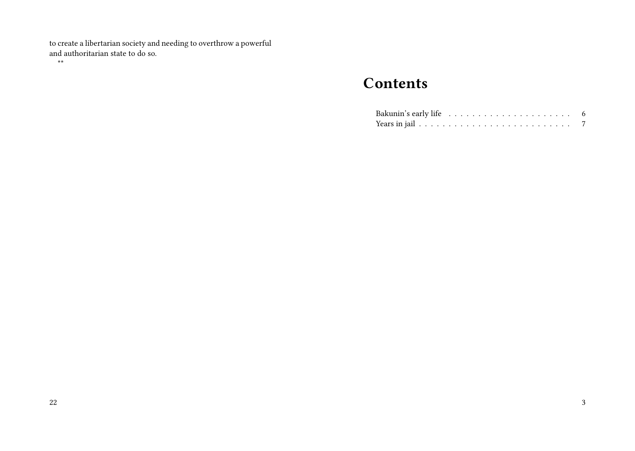to create a libertarian society and needing to overthrow a powerful and authoritarian state to do so.

\*\*

## **Contents**

| Bakunin's early life $\ldots \ldots \ldots \ldots \ldots \ldots \ldots$        |  |  |  |  |  |  |  |  |  |  |  |  |
|--------------------------------------------------------------------------------|--|--|--|--|--|--|--|--|--|--|--|--|
| Years in jail $\ldots \ldots \ldots \ldots \ldots \ldots \ldots \ldots \ldots$ |  |  |  |  |  |  |  |  |  |  |  |  |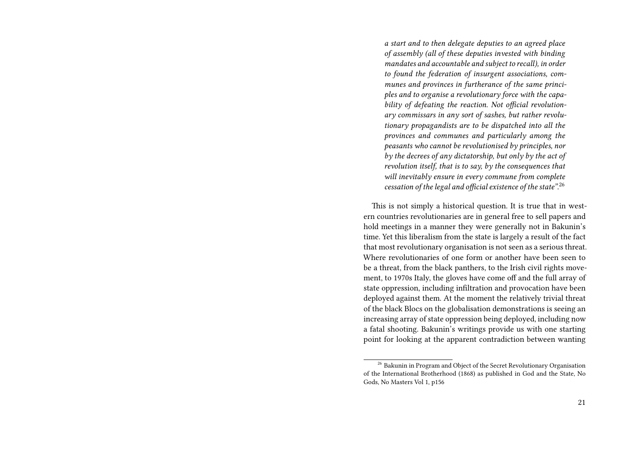*a start and to then delegate deputies to an agreed place of assembly (all of these deputies invested with binding mandates and accountable and subject to recall), in order to found the federation of insurgent associations, communes and provinces in furtherance of the same principles and to organise a revolutionary force with the capability of defeating the reaction. Not official revolutionary commissars in any sort of sashes, but rather revolutionary propagandists are to be dispatched into all the provinces and communes and particularly among the peasants who cannot be revolutionised by principles, nor by the decrees of any dictatorship, but only by the act of revolution itself, that is to say, by the consequences that will inevitably ensure in every commune from complete cessation of the legal and official existence of the state"*. 26

This is not simply a historical question. It is true that in western countries revolutionaries are in general free to sell papers and hold meetings in a manner they were generally not in Bakunin's time. Yet this liberalism from the state is largely a result of the fact that most revolutionary organisation is not seen as a serious threat. Where revolutionaries of one form or another have been seen to be a threat, from the black panthers, to the Irish civil rights movement, to 1970s Italy, the gloves have come off and the full array of state oppression, including infiltration and provocation have been deployed against them. At the moment the relatively trivial threat of the black Blocs on the globalisation demonstrations is seeing an increasing array of state oppression being deployed, including now a fatal shooting. Bakunin's writings provide us with one starting point for looking at the apparent contradiction between wanting

<sup>&</sup>lt;sup>26</sup> Bakunin in Program and Object of the Secret Revolutionary Organisation of the International Brotherhood (1868) as published in God and the State, No Gods, No Masters Vol 1, p156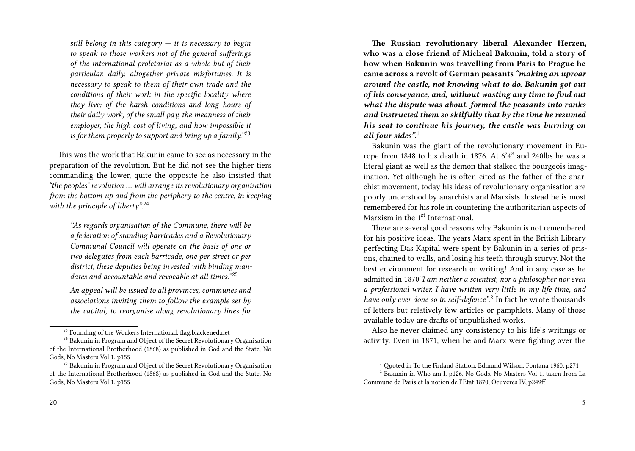*still belong in this category — it is necessary to begin to speak to those workers not of the general sufferings of the international proletariat as a whole but of their particular, daily, altogether private misfortunes. It is necessary to speak to them of their own trade and the conditions of their work in the specific locality where they live; of the harsh conditions and long hours of their daily work, of the small pay, the meanness of their employer, the high cost of living, and how impossible it is for them properly to support and bring up a family.*<sup>"23</sup>

This was the work that Bakunin came to see as necessary in the preparation of the revolution. But he did not see the higher tiers commanding the lower, quite the opposite he also insisted that *"the peoples' revolution … will arrange its revolutionary organisation from the bottom up and from the periphery to the centre, in keeping with the principle of liberty"*. 24

*"As regards organisation of the Commune, there will be a federation of standing barricades and a Revolutionary Communal Council will operate on the basis of one or two delegates from each barricade, one per street or per district, these deputies being invested with binding man*dates and accountable and revocable at all times."<sup>25</sup>

*An appeal will be issued to all provinces, communes and associations inviting them to follow the example set by the capital, to reorganise along revolutionary lines for*

20

**The Russian revolutionary liberal Alexander Herzen, who was a close friend of Micheal Bakunin, told a story of how when Bakunin was travelling from Paris to Prague he came across a revolt of German peasants** *"making an uproar around the castle, not knowing what to do. Bakunin got out of his conveyance, and, without wasting any time to find out what the dispute was about, formed the peasants into ranks and instructed them so skilfully that by the time he resumed his seat to continue his journey, the castle was burning on all four sides"***.** 1

Bakunin was the giant of the revolutionary movement in Europe from 1848 to his death in 1876. At 6'4" and 240lbs he was a literal giant as well as the demon that stalked the bourgeois imagination. Yet although he is often cited as the father of the anarchist movement, today his ideas of revolutionary organisation are poorly understood by anarchists and Marxists. Instead he is most remembered for his role in countering the authoritarian aspects of Marxism in the 1st International.

There are several good reasons why Bakunin is not remembered for his positive ideas. The years Marx spent in the British Library perfecting Das Kapital were spent by Bakunin in a series of prisons, chained to walls, and losing his teeth through scurvy. Not the best environment for research or writing! And in any case as he admitted in 1870*"I am neither a scientist, nor a philosopher nor even a professional writer. I have written very little in my life time, and have only ever done so in self-defence"*. 2 In fact he wrote thousands of letters but relatively few articles or pamphlets. Many of those available today are drafts of unpublished works.

Also he never claimed any consistency to his life's writings or activity. Even in 1871, when he and Marx were fighting over the

<sup>&</sup>lt;sup>23</sup> Founding of the Workers International, flag.blackened.net

 $^{24}$  Bakunin in Program and Object of the Secret Revolutionary Organisation of the International Brotherhood (1868) as published in God and the State, No Gods, No Masters Vol 1, p155

<sup>&</sup>lt;sup>25</sup> Bakunin in Program and Object of the Secret Revolutionary Organisation of the International Brotherhood (1868) as published in God and the State, No Gods, No Masters Vol 1, p155

<sup>&</sup>lt;sup>1</sup> Quoted in To the Finland Station, Edmund Wilson, Fontana 1960, p271

<sup>2</sup> Bakunin in Who am I, p126, No Gods, No Masters Vol 1, taken from La Commune de Paris et la notion de l'Etat 1870, Oeuveres IV, p249ff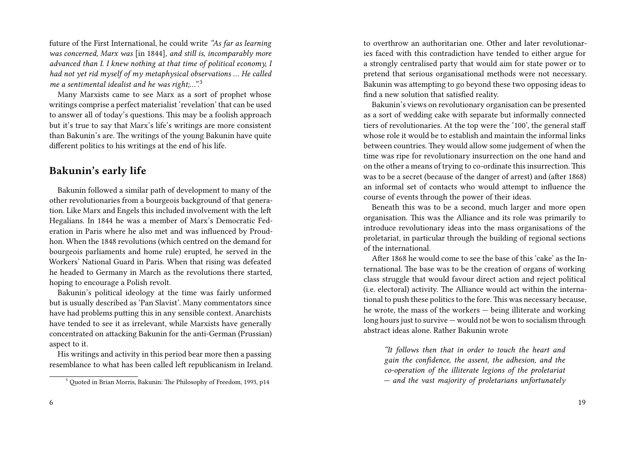future of the First International, he could write *"As far as learning was concerned, Marx was* [in 1844]*, and still is, incomparably more advanced than I. I knew nothing at that time of political economy, I had not yet rid myself of my metaphysical observations … He called me a sentimental idealist and he was right;…"*. 3

Many Marxists came to see Marx as a sort of prophet whose writings comprise a perfect materialist 'revelation' that can be used to answer all of today's questions. This may be a foolish approach but it's true to say that Marx's life's writings are more consistent than Bakunin's are. The writings of the young Bakunin have quite different politics to his writings at the end of his life.

#### **Bakunin's early life**

Bakunin followed a similar path of development to many of the other revolutionaries from a bourgeois background of that generation. Like Marx and Engels this included involvement with the left Hegalians. In 1844 he was a member of Marx's Democratic Federation in Paris where he also met and was influenced by Proudhon. When the 1848 revolutions (which centred on the demand for bourgeois parliaments and home rule) erupted, he served in the Workers' National Guard in Paris. When that rising was defeated he headed to Germany in March as the revolutions there started, hoping to encourage a Polish revolt.

Bakunin's political ideology at the time was fairly unformed but is usually described as 'Pan Slavist'. Many commentators since have had problems putting this in any sensible context. Anarchists have tended to see it as irrelevant, while Marxists have generally concentrated on attacking Bakunin for the anti-German (Prussian) aspect to it.

His writings and activity in this period bear more then a passing resemblance to what has been called left republicanism in Ireland.

to overthrow an authoritarian one. Other and later revolutionaries faced with this contradiction have tended to either argue for a strongly centralised party that would aim for state power or to pretend that serious organisational methods were not necessary. Bakunin was attempting to go beyond these two opposing ideas to find a new solution that satisfied reality.

Bakunin's views on revolutionary organisation can be presented as a sort of wedding cake with separate but informally connected tiers of revolutionaries. At the top were the '100', the general staff whose role it would be to establish and maintain the informal links between countries. They would allow some judgement of when the time was ripe for revolutionary insurrection on the one hand and on the other a means of trying to co-ordinate this insurrection. This was to be a secret (because of the danger of arrest) and (after 1868) an informal set of contacts who would attempt to influence the course of events through the power of their ideas.

Beneath this was to be a second, much larger and more open organisation. This was the Alliance and its role was primarily to introduce revolutionary ideas into the mass organisations of the proletariat, in particular through the building of regional sections of the international.

After 1868 he would come to see the base of this 'cake' as the International. The base was to be the creation of organs of working class struggle that would favour direct action and reject political (i.e. electoral) activity. The Alliance would act within the international to push these politics to the fore. This was necessary because, he wrote, the mass of the workers — being illiterate and working long hours just to survive — would not be won to socialism through abstract ideas alone. Rather Bakunin wrote

*"It follows then that in order to touch the heart and gain the confidence, the assent, the adhesion, and the co-operation of the illiterate legions of the proletariat — and the vast majority of proletarians unfortunately*

<sup>3</sup> Quoted in Brian Morris, Bakunin: The Philosophy of Freedom, 1993, p14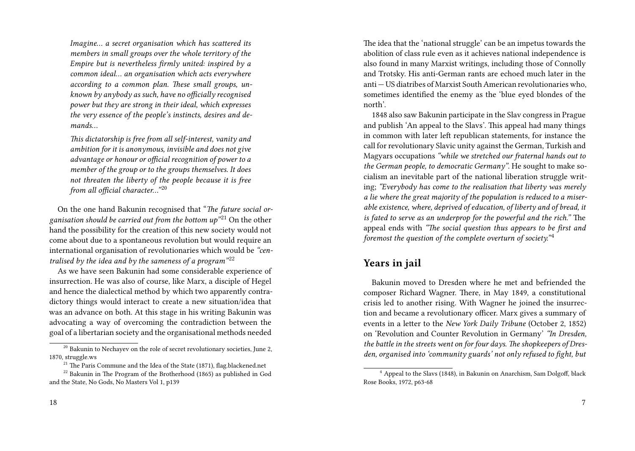*Imagine… a secret organisation which has scattered its members in small groups over the whole territory of the Empire but is nevertheless firmly united: inspired by a common ideal… an organisation which acts everywhere according to a common plan. These small groups, unknown by anybody as such, have no officially recognised power but they are strong in their ideal, which expresses the very essence of the people's instincts, desires and demands…*

*This dictatorship is free from all self-interest, vanity and ambition for it is anonymous, invisible and does not give advantage or honour or official recognition of power to a member of the group or to the groups themselves. It does not threaten the liberty of the people because it is free from all official character...*"<sup>20</sup>

On the one hand Bakunin recognised that "*The future social organisation should be carried out from the bottom up*<sup>"21</sup> On the other hand the possibility for the creation of this new society would not come about due to a spontaneous revolution but would require an international organisation of revolutionaries which would be *"centralised by the idea and by the sameness of a program*<sup>"22</sup>

As we have seen Bakunin had some considerable experience of insurrection. He was also of course, like Marx, a disciple of Hegel and hence the dialectical method by which two apparently contradictory things would interact to create a new situation/idea that was an advance on both. At this stage in his writing Bakunin was advocating a way of overcoming the contradiction between the goal of a libertarian society and the organisational methods needed

The idea that the 'national struggle' can be an impetus towards the abolition of class rule even as it achieves national independence is also found in many Marxist writings, including those of Connolly and Trotsky. His anti-German rants are echoed much later in the anti — US diatribes of Marxist South American revolutionaries who, sometimes identified the enemy as the 'blue eyed blondes of the north'.

1848 also saw Bakunin participate in the Slav congress in Prague and publish 'An appeal to the Slavs'. This appeal had many things in common with later left republican statements, for instance the call for revolutionary Slavic unity against the German, Turkish and Magyars occupations *"while we stretched our fraternal hands out to the German people, to democratic Germany"*. He sought to make socialism an inevitable part of the national liberation struggle writing; *"Everybody has come to the realisation that liberty was merely a lie where the great majority of the population is reduced to a miserable existence, where, deprived of education, of liberty and of bread, it is fated to serve as an underprop for the powerful and the rich."* The appeal ends with *"The social question thus appears to be first and foremost the question of the complete overturn of society.*"<sup>4</sup>

### **Years in jail**

Bakunin moved to Dresden where he met and befriended the composer Richard Wagner. There, in May 1849, a constitutional crisis led to another rising. With Wagner he joined the insurrection and became a revolutionary officer. Marx gives a summary of events in a letter to the *New York Daily Tribune* (October 2, 1852) on 'Revolution and Counter Revolution in Germany' *"In Dresden, the battle in the streets went on for four days. The shopkeepers of Dresden, organised into 'community guards' not only refused to fight, but*

 $20$  Bakunin to Nechayev on the role of secret revolutionary societies, June 2, 1870, struggle.ws

<sup>&</sup>lt;sup>21</sup> The Paris Commune and the Idea of the State (1871), flag.blackened.net

<sup>&</sup>lt;sup>22</sup> Bakunin in The Program of the Brotherhood (1865) as published in God and the State, No Gods, No Masters Vol 1, p139

<sup>4</sup> Appeal to the Slavs (1848), in Bakunin on Anarchism, Sam Dolgoff, black Rose Books, 1972, p63-68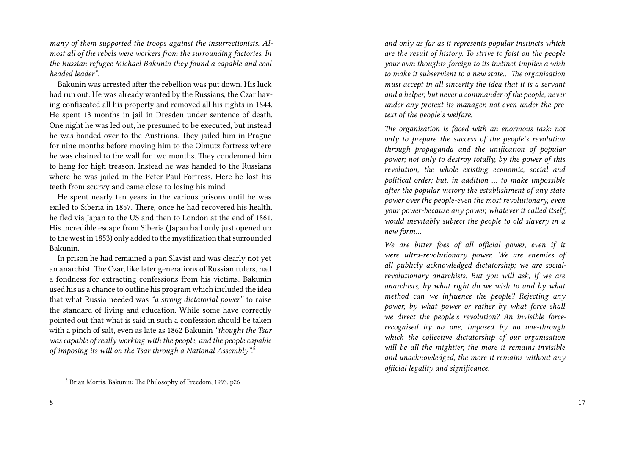*many of them supported the troops against the insurrectionists. Almost all of the rebels were workers from the surrounding factories. In the Russian refugee Michael Bakunin they found a capable and cool headed leader"*.

Bakunin was arrested after the rebellion was put down. His luck had run out. He was already wanted by the Russians, the Czar having confiscated all his property and removed all his rights in 1844. He spent 13 months in jail in Dresden under sentence of death. One night he was led out, he presumed to be executed, but instead he was handed over to the Austrians. They jailed him in Prague for nine months before moving him to the Olmutz fortress where he was chained to the wall for two months. They condemned him to hang for high treason. Instead he was handed to the Russians where he was jailed in the Peter-Paul Fortress. Here he lost his teeth from scurvy and came close to losing his mind.

He spent nearly ten years in the various prisons until he was exiled to Siberia in 1857. There, once he had recovered his health, he fled via Japan to the US and then to London at the end of 1861. His incredible escape from Siberia (Japan had only just opened up to the west in 1853) only added to the mystification that surrounded Bakunin.

In prison he had remained a pan Slavist and was clearly not yet an anarchist. The Czar, like later generations of Russian rulers, had a fondness for extracting confessions from his victims. Bakunin used his as a chance to outline his program which included the idea that what Russia needed was *"a strong dictatorial power"* to raise the standard of living and education. While some have correctly pointed out that what is said in such a confession should be taken with a pinch of salt, even as late as 1862 Bakunin *"thought the Tsar was capable of really working with the people, and the people capable of imposing its will on the Tsar through a National Assembly"*. 5

*and only as far as it represents popular instincts which are the result of history. To strive to foist on the people your own thoughts-foreign to its instinct-implies a wish to make it subservient to a new state… The organisation must accept in all sincerity the idea that it is a servant and a helper, but never a commander of the people, never under any pretext its manager, not even under the pretext of the people's welfare.*

*The organisation is faced with an enormous task: not only to prepare the success of the people's revolution through propaganda and the unification of popular power; not only to destroy totally, by the power of this revolution, the whole existing economic, social and political order; but, in addition … to make impossible after the popular victory the establishment of any state power over the people-even the most revolutionary, even your power-because any power, whatever it called itself, would inevitably subject the people to old slavery in a new form…*

*We are bitter foes of all official power, even if it were ultra-revolutionary power. We are enemies of all publicly acknowledged dictatorship; we are socialrevolutionary anarchists. But you will ask, if we are anarchists, by what right do we wish to and by what method can we influence the people? Rejecting any power, by what power or rather by what force shall we direct the people's revolution? An invisible forcerecognised by no one, imposed by no one-through which the collective dictatorship of our organisation will be all the mightier, the more it remains invisible and unacknowledged, the more it remains without any official legality and significance.*

<sup>5</sup> Brian Morris, Bakunin: The Philosophy of Freedom, 1993, p26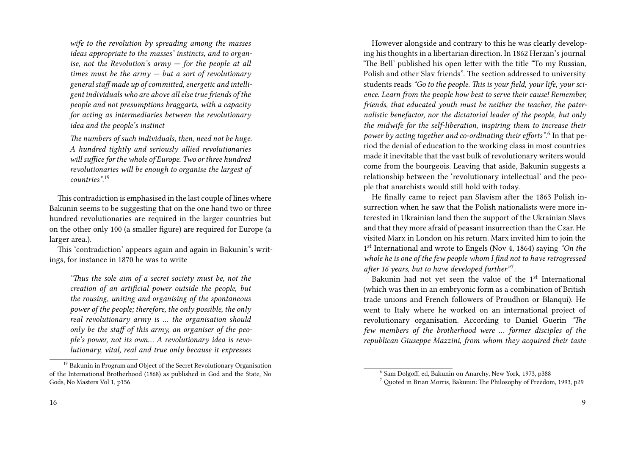*wife to the revolution by spreading among the masses ideas appropriate to the masses' instincts, and to organise, not the Revolution's army — for the people at all times must be the army — but a sort of revolutionary general staff made up of committed, energetic and intelligent individuals who are above all else true friends of the people and not presumptions braggarts, with a capacity for acting as intermediaries between the revolutionary idea and the people's instinct*

*The numbers of such individuals, then, need not be huge. A hundred tightly and seriously allied revolutionaries will suffice for the whole of Europe. Two or three hundred revolutionaries will be enough to organise the largest of countries".*<sup>19</sup>

This contradiction is emphasised in the last couple of lines where Bakunin seems to be suggesting that on the one hand two or three hundred revolutionaries are required in the larger countries but on the other only 100 (a smaller figure) are required for Europe (a larger area.).

This 'contradiction' appears again and again in Bakunin's writings, for instance in 1870 he was to write

*"Thus the sole aim of a secret society must be, not the creation of an artificial power outside the people, but the rousing, uniting and organising of the spontaneous power of the people; therefore, the only possible, the only real revolutionary army is … the organisation should only be the staff of this army, an organiser of the people's power, not its own… A revolutionary idea is revolutionary, vital, real and true only because it expresses*

However alongside and contrary to this he was clearly developing his thoughts in a libertarian direction. In 1862 Herzan's journal 'The Bell' published his open letter with the title "To my Russian, Polish and other Slav friends". The section addressed to university students reads *"Go to the people. This is your field, your life, your science. Learn from the people how best to serve their cause! Remember, friends, that educated youth must be neither the teacher, the paternalistic benefactor, nor the dictatorial leader of the people, but only the midwife for the self-liberation, inspiring them to increase their power by acting together and co-ordinating their efforts"*. 6 In that period the denial of education to the working class in most countries made it inevitable that the vast bulk of revolutionary writers would come from the bourgeois. Leaving that aside, Bakunin suggests a relationship between the 'revolutionary intellectual' and the people that anarchists would still hold with today.

He finally came to reject pan Slavism after the 1863 Polish insurrection when he saw that the Polish nationalists were more interested in Ukrainian land then the support of the Ukrainian Slavs and that they more afraid of peasant insurrection than the Czar. He visited Marx in London on his return. Marx invited him to join the 1 st International and wrote to Engels (Nov 4, 1864) saying *"On the whole he is one of the few people whom I find not to have retrogressed* after 16 years, but to have developed further"<sup>7</sup>.

Bakunin had not yet seen the value of the 1<sup>st</sup> International (which was then in an embryonic form as a combination of British trade unions and French followers of Proudhon or Blanqui). He went to Italy where he worked on an international project of revolutionary organisation. According to Daniel Guerin *"The few members of the brotherhood were … former disciples of the republican Giuseppe Mazzini, from whom they acquired their taste*

<sup>19</sup> Bakunin in Program and Object of the Secret Revolutionary Organisation of the International Brotherhood (1868) as published in God and the State, No Gods, No Masters Vol 1, p156

<sup>6</sup> Sam Dolgoff, ed, Bakunin on Anarchy, New York, 1973, p388

<sup>7</sup> Quoted in Brian Morris, Bakunin: The Philosophy of Freedom, 1993, p29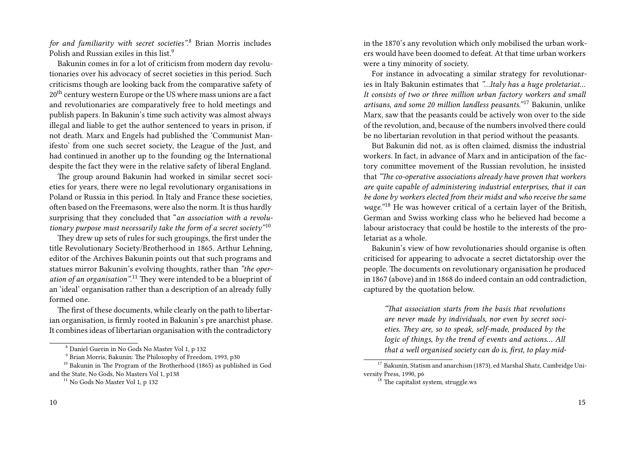*for and familiarity with secret societies"*. <sup>8</sup> Brian Morris includes Polish and Russian exiles in this list.<sup>9</sup>

Bakunin comes in for a lot of criticism from modern day revolutionaries over his advocacy of secret societies in this period. Such criticisms though are looking back from the comparative safety of 20<sup>th</sup> century western Europe or the US where mass unions are a fact and revolutionaries are comparatively free to hold meetings and publish papers. In Bakunin's time such activity was almost always illegal and liable to get the author sentenced to years in prison, if not death. Marx and Engels had published the 'Communist Manifesto' from one such secret society, the League of the Just, and had continued in another up to the founding og the International despite the fact they were in the relative safety of liberal England.

The group around Bakunin had worked in similar secret societies for years, there were no legal revolutionary organisations in Poland or Russia in this period. In Italy and France these societies, often based on the Freemasons, were also the norm. It is thus hardly surprising that they concluded that "*an association with a revolutionary purpose must necessarily take the form of a secret society*<sup>"10</sup>

They drew up sets of rules for such groupings, the first under the title Revolutionary Society/Brotherhood in 1865. Arthur Lehning, editor of the Archives Bakunin points out that such programs and statues mirror Bakunin's evolving thoughts, rather than *"the operation of an organisation"*. <sup>11</sup> They were intended to be a blueprint of an 'ideal' organisation rather than a description of an already fully formed one.

The first of these documents, while clearly on the path to libertarian organisation, is firmly rooted in Bakunin's pre anarchist phase. It combines ideas of libertarian organisation with the contradictory in the 1870's any revolution which only mobilised the urban workers would have been doomed to defeat. At that time urban workers were a tiny minority of society.

For instance in advocating a similar strategy for revolutionaries in Italy Bakunin estimates that *"…Italy has a huge proletariat… It consists of two or three million urban factory workers and small artisans, and some 20 million landless peasants."* <sup>17</sup> Bakunin, unlike Marx, saw that the peasants could be actively won over to the side of the revolution, and, because of the numbers involved there could be no libertarian revolution in that period without the peasants.

But Bakunin did not, as is often claimed, dismiss the industrial workers. In fact, in advance of Marx and in anticipation of the factory committee movement of the Russian revolution, he insisted that *"The co-operative associations already have proven that workers are quite capable of administering industrial enterprises, that it can be done by workers elected from their midst and who receive the same* wage."<sup>18</sup> He was however critical of a certain layer of the British, German and Swiss working class who he believed had become a labour aristocracy that could be hostile to the interests of the proletariat as a whole.

Bakunin's view of how revolutionaries should organise is often criticised for appearing to advocate a secret dictatorship over the people. The documents on revolutionary organisation he produced in 1867 (above) and in 1868 do indeed contain an odd contradiction, captured by the quotation below.

*"That association starts from the basis that revolutions are never made by individuals, nor even by secret societies. They are, so to speak, self-made, produced by the logic of things, by the trend of events and actions… All that a well organised society can do is, first, to play mid-*

<sup>8</sup> Daniel Guerin in No Gods No Master Vol 1, p 132

<sup>9</sup> Brian Morris, Bakunin: The Philosophy of Freedom, 1993, p30

<sup>&</sup>lt;sup>10</sup> Bakunin in The Program of the Brotherhood (1865) as published in God and the State, No Gods, No Masters Vol 1, p138

 $11$  No Gods No Master Vol 1, p 132

<sup>&</sup>lt;sup>17</sup> Bakunin, Statism and anarchism (1873), ed Marshal Shatz, Cambridge University Press, 1990, p6

<sup>&</sup>lt;sup>18</sup> The capitalist system, struggle.ws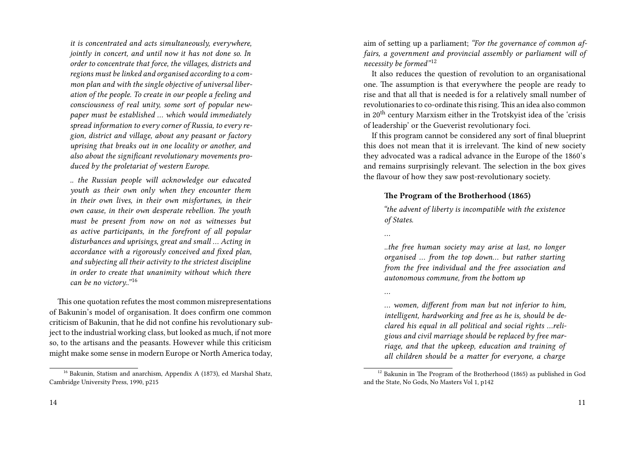*it is concentrated and acts simultaneously, everywhere, jointly in concert, and until now it has not done so. In order to concentrate that force, the villages, districts and regions must be linked and organised according to a common plan and with the single objective of universal liberation of the people. To create in our people a feeling and consciousness of real unity, some sort of popular newpaper must be established … which would immediately spread information to every corner of Russia, to every region, district and village, about any peasant or factory uprising that breaks out in one locality or another, and also about the significant revolutionary movements produced by the proletariat of western Europe.*

*.. the Russian people will acknowledge our educated youth as their own only when they encounter them in their own lives, in their own misfortunes, in their own cause, in their own desperate rebellion. The youth must be present from now on not as witnesses but as active participants, in the forefront of all popular disturbances and uprisings, great and small … Acting in accordance with a rigorously conceived and fixed plan, and subjecting all their activity to the strictest discipline in order to create that unanimity without which there can be no victory.."* <sup>16</sup>

This one quotation refutes the most common misrepresentations of Bakunin's model of organisation. It does confirm one common criticism of Bakunin, that he did not confine his revolutionary subject to the industrial working class, but looked as much, if not more so, to the artisans and the peasants. However while this criticism might make some sense in modern Europe or North America today, aim of setting up a parliament; *"For the governance of common affairs, a government and provincial assembly or parliament will of necessity be formed*"<sup>12</sup>

It also reduces the question of revolution to an organisational one. The assumption is that everywhere the people are ready to rise and that all that is needed is for a relatively small number of revolutionaries to co-ordinate this rising. This an idea also common in 20th century Marxism either in the Trotskyist idea of the 'crisis of leadership' or the Gueverist revolutionary foci.

If this program cannot be considered any sort of final blueprint this does not mean that it is irrelevant. The kind of new society they advocated was a radical advance in the Europe of the 1860's and remains surprisingly relevant. The selection in the box gives the flavour of how they saw post-revolutionary society.

#### **The Program of the Brotherhood (1865)**

*"the advent of liberty is incompatible with the existence of States.*

*…*

*..the free human society may arise at last, no longer organised … from the top down… but rather starting from the free individual and the free association and autonomous commune, from the bottom up*

*…*

*… women, different from man but not inferior to him, intelligent, hardworking and free as he is, should be declared his equal in all political and social rights …religious and civil marriage should be replaced by free marriage, and that the upkeep, education and training of all children should be a matter for everyone, a charge*

<sup>16</sup> Bakunin, Statism and anarchism, Appendix A (1873), ed Marshal Shatz, Cambridge University Press, 1990, p215

<sup>&</sup>lt;sup>12</sup> Bakunin in The Program of the Brotherhood (1865) as published in God and the State, No Gods, No Masters Vol 1, p142